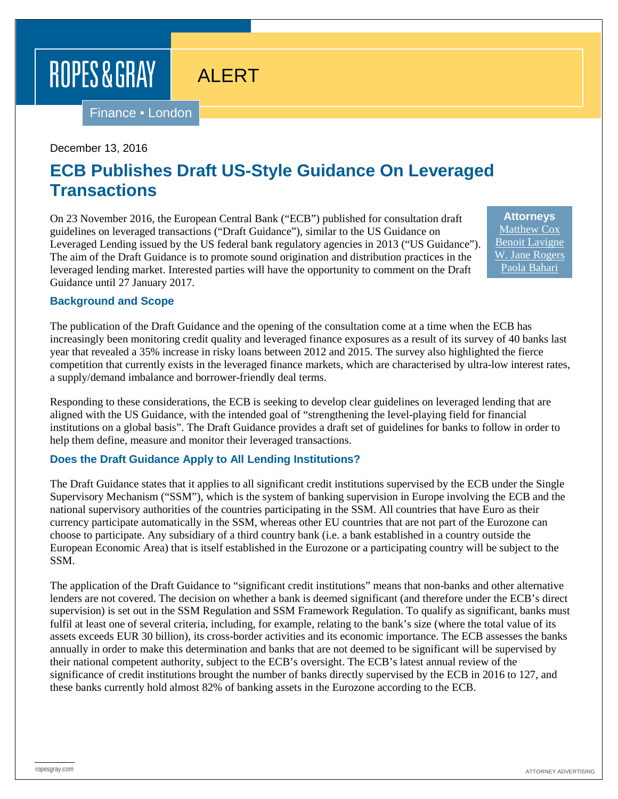# ROPES & GRAY

Finance ▪ London

### December 13, 2016

# **ECB Publishes Draft US-Style Guidance On Leveraged Transactions**

ALERT

On 23 November 2016, the European Central Bank ("ECB") published for consultation draft guidelines on leveraged transactions ("Draft Guidance"), similar to the US Guidance on Leveraged Lending issued by the US federal bank regulatory agencies in 2013 ("US Guidance"). The aim of the Draft Guidance is to promote sound origination and distribution practices in the leveraged lending market. Interested parties will have the opportunity to comment on the Draft Guidance until 27 January 2017.

**Attorneys** [Matthew Cox](https://www.ropesgray.com/biographies/c/matthew-cox.aspx) [Benoit Lavigne](https://www.ropesgray.com/biographies/l/benoit-lavigne.aspx) [W. Jane](https://www.ropesgray.com/biographies/r/w-jane-rogers.aspx) Rogers [Paola Bahari](https://www.ropesgray.com/biographies/b/Bahari-Paola.aspx)

#### **Background and Scope**

The publication of the Draft Guidance and the opening of the consultation come at a time when the ECB has increasingly been monitoring credit quality and leveraged finance exposures as a result of its survey of 40 banks last year that revealed a 35% increase in risky loans between 2012 and 2015. The survey also highlighted the fierce competition that currently exists in the leveraged finance markets, which are characterised by ultra-low interest rates, a supply/demand imbalance and borrower-friendly deal terms.

Responding to these considerations, the ECB is seeking to develop clear guidelines on leveraged lending that are aligned with the US Guidance, with the intended goal of "strengthening the level-playing field for financial institutions on a global basis". The Draft Guidance provides a draft set of guidelines for banks to follow in order to help them define, measure and monitor their leveraged transactions.

### **Does the Draft Guidance Apply to All Lending Institutions?**

The Draft Guidance states that it applies to all significant credit institutions supervised by the ECB under the Single Supervisory Mechanism ("SSM"), which is the system of banking supervision in Europe involving the ECB and the national supervisory authorities of the countries participating in the SSM. All countries that have Euro as their currency participate automatically in the SSM, whereas other EU countries that are not part of the Eurozone can choose to participate. Any subsidiary of a third country bank (i.e. a bank established in a country outside the European Economic Area) that is itself established in the Eurozone or a participating country will be subject to the SSM.

The application of the Draft Guidance to "significant credit institutions" means that non-banks and other alternative lenders are not covered. The decision on whether a bank is deemed significant (and therefore under the ECB's direct supervision) is set out in the SSM Regulation and SSM Framework Regulation. To qualify as significant, banks must fulfil at least one of several criteria, including, for example, relating to the bank's size (where the total value of its assets exceeds EUR 30 billion), its cross-border activities and its economic importance. The ECB assesses the banks annually in order to make this determination and banks that are not deemed to be significant will be supervised by their national competent authority, subject to the ECB's oversight. The ECB's latest annual review of the significance of credit institutions brought the number of banks directly supervised by the ECB in 2016 to 127, and these banks currently hold almost 82% of banking assets in the Eurozone according to the ECB.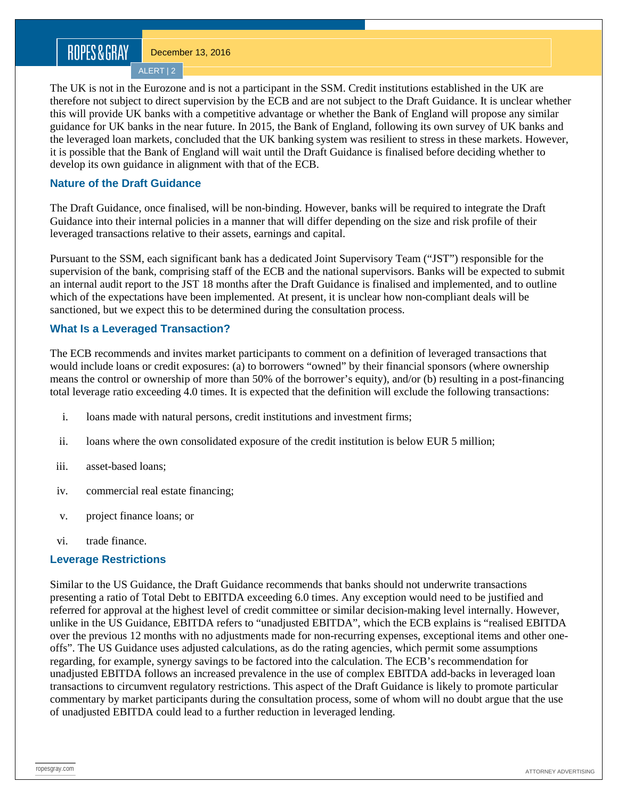# ROPES&GRAY

December 13, 2016

ALERT | 2

The UK is not in the Eurozone and is not a participant in the SSM. Credit institutions established in the UK are therefore not subject to direct supervision by the ECB and are not subject to the Draft Guidance. It is unclear whether this will provide UK banks with a competitive advantage or whether the Bank of England will propose any similar guidance for UK banks in the near future. In 2015, the Bank of England, following its own survey of UK banks and the leveraged loan markets, concluded that the UK banking system was resilient to stress in these markets. However, it is possible that the Bank of England will wait until the Draft Guidance is finalised before deciding whether to develop its own guidance in alignment with that of the ECB.

## **Nature of the Draft Guidance**

The Draft Guidance, once finalised, will be non-binding. However, banks will be required to integrate the Draft Guidance into their internal policies in a manner that will differ depending on the size and risk profile of their leveraged transactions relative to their assets, earnings and capital.

Pursuant to the SSM, each significant bank has a dedicated Joint Supervisory Team ("JST") responsible for the supervision of the bank, comprising staff of the ECB and the national supervisors. Banks will be expected to submit an internal audit report to the JST 18 months after the Draft Guidance is finalised and implemented, and to outline which of the expectations have been implemented. At present, it is unclear how non-compliant deals will be sanctioned, but we expect this to be determined during the consultation process.

## **What Is a Leveraged Transaction?**

The ECB recommends and invites market participants to comment on a definition of leveraged transactions that would include loans or credit exposures: (a) to borrowers "owned" by their financial sponsors (where ownership means the control or ownership of more than 50% of the borrower's equity), and/or (b) resulting in a post-financing total leverage ratio exceeding 4.0 times. It is expected that the definition will exclude the following transactions:

- i. loans made with natural persons, credit institutions and investment firms;
- ii. loans where the own consolidated exposure of the credit institution is below EUR 5 million;
- iii. asset-based loans;
- iv. commercial real estate financing;
- v. project finance loans; or
- vi. trade finance.

### **Leverage Restrictions**

Similar to the US Guidance, the Draft Guidance recommends that banks should not underwrite transactions presenting a ratio of Total Debt to EBITDA exceeding 6.0 times. Any exception would need to be justified and referred for approval at the highest level of credit committee or similar decision-making level internally. However, unlike in the US Guidance, EBITDA refers to "unadjusted EBITDA", which the ECB explains is "realised EBITDA over the previous 12 months with no adjustments made for non-recurring expenses, exceptional items and other oneoffs". The US Guidance uses adjusted calculations, as do the rating agencies, which permit some assumptions regarding, for example, synergy savings to be factored into the calculation. The ECB's recommendation for unadjusted EBITDA follows an increased prevalence in the use of complex EBITDA add-backs in leveraged loan transactions to circumvent regulatory restrictions. This aspect of the Draft Guidance is likely to promote particular commentary by market participants during the consultation process, some of whom will no doubt argue that the use of unadjusted EBITDA could lead to a further reduction in leveraged lending.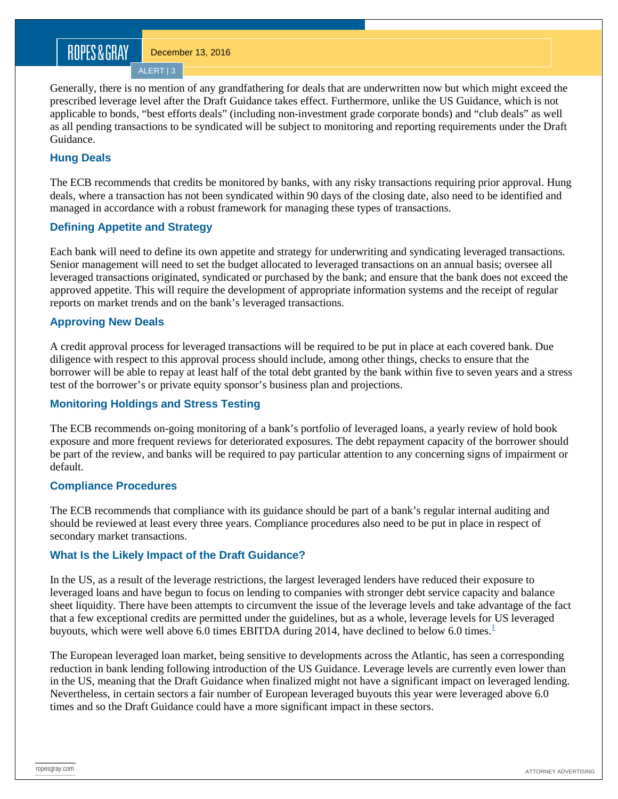# ROPES&GRAY

December 13, 2016 ALERT | 3

Generally, there is no mention of any grandfathering for deals that are underwritten now but which might exceed the prescribed leverage level after the Draft Guidance takes effect. Furthermore, unlike the US Guidance, which is not applicable to bonds, "best efforts deals" (including non-investment grade corporate bonds) and "club deals" as well as all pending transactions to be syndicated will be subject to monitoring and reporting requirements under the Draft Guidance.

## **Hung Deals**

The ECB recommends that credits be monitored by banks, with any risky transactions requiring prior approval. Hung deals, where a transaction has not been syndicated within 90 days of the closing date, also need to be identified and managed in accordance with a robust framework for managing these types of transactions.

### **Defining Appetite and Strategy**

Each bank will need to define its own appetite and strategy for underwriting and syndicating leveraged transactions. Senior management will need to set the budget allocated to leveraged transactions on an annual basis; oversee all leveraged transactions originated, syndicated or purchased by the bank; and ensure that the bank does not exceed the approved appetite. This will require the development of appropriate information systems and the receipt of regular reports on market trends and on the bank's leveraged transactions.

### **Approving New Deals**

A credit approval process for leveraged transactions will be required to be put in place at each covered bank. Due diligence with respect to this approval process should include, among other things, checks to ensure that the borrower will be able to repay at least half of the total debt granted by the bank within five to seven years and a stress test of the borrower's or private equity sponsor's business plan and projections.

### **Monitoring Holdings and Stress Testing**

The ECB recommends on-going monitoring of a bank's portfolio of leveraged loans, a yearly review of hold book exposure and more frequent reviews for deteriorated exposures. The debt repayment capacity of the borrower should be part of the review, and banks will be required to pay particular attention to any concerning signs of impairment or default.

### **Compliance Procedures**

The ECB recommends that compliance with its guidance should be part of a bank's regular internal auditing and should be reviewed at least every three years. Compliance procedures also need to be put in place in respect of secondary market transactions.

### **What Is the Likely Impact of the Draft Guidance?**

In the US, as a result of the leverage restrictions, the largest leveraged lenders have reduced their exposure to leveraged loans and have begun to focus on lending to companies with stronger debt service capacity and balance sheet liquidity. There have been attempts to circumvent the issue of the leverage levels and take advantage of the fact that a few exceptional credits are permitted under the guidelines, but as a whole, leverage levels for US leveraged buyouts, which were well above 6.0 times EBITDA during 20[1](https://www.ropesgray.com/newsroom/alerts/2016/December/ECB-Publishes-Draft-US-Style-Guidance-On-Leveraged-Transactions.aspx%23fn1)4, have declined to below 6.0 times.<sup>1</sup>

The European leveraged loan market, being sensitive to developments across the Atlantic, has seen a corresponding reduction in bank lending following introduction of the US Guidance. Leverage levels are currently even lower than in the US, meaning that the Draft Guidance when finalized might not have a significant impact on leveraged lending. Nevertheless, in certain sectors a fair number of European leveraged buyouts this year were leveraged above 6.0 times and so the Draft Guidance could have a more significant impact in these sectors.